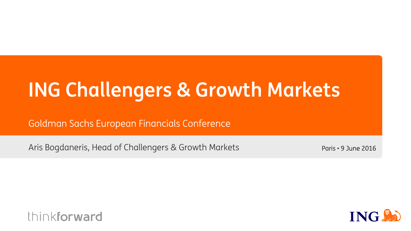# **ING Challengers & Growth Markets**

Goldman Sachs European Financials Conference

Aris Bogdaneris, Head of Challengers & Growth Markets

Paris • 9 June 2016



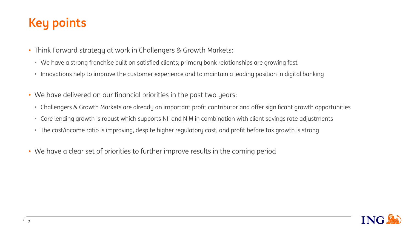## **Key points**

- Think Forward strategy at work in Challengers & Growth Markets:
	- We have a strong franchise built on satisfied clients; primary bank relationships are growing fast
	- Innovations help to improve the customer experience and to maintain a leading position in digital banking
- We have delivered on our financial priorities in the past two years:
	- Challengers & Growth Markets are already an important profit contributor and offer significant growth opportunities
	- Core lending growth is robust which supports NII and NIM in combination with client savings rate adjustments
	- The cost/income ratio is improving, despite higher regulatory cost, and profit before tax growth is strong
- We have a clear set of priorities to further improve results in the coming period

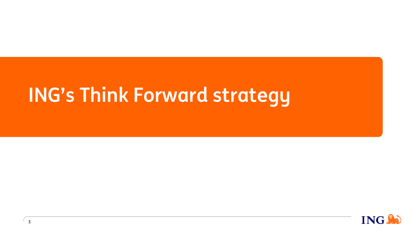# **ING's Think Forward strategy**

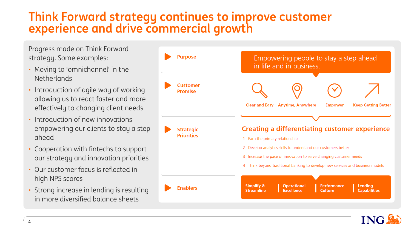## **Think Forward strategy continues to improve customer experience and drive commercial growth**

Progress made on Think Forward strategy. Some examples:

- Moving to 'omnichannel' in the **Netherlands**
- Introduction of agile way of working allowing us to react faster and more effectively to changing client needs
- Introduction of new innovations empowering our clients to stay a step ahead
- Cooperation with fintechs to support our strategy and innovation priorities
- Our customer focus is reflected in high NPS scores
- Strong increase in lending is resulting in more diversified balance sheets



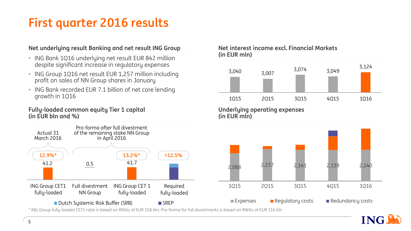## **First quarter 2016 results**

### **Net underlying result Banking and net result ING Group**

- ING Bank 1Q16 underlying net result EUR 842 million despite significant increase in regulatory expenses
- ING Group 1Q16 net result EUR 1,257 million including profit on sales of NN Group shares in January
- ING Bank recorded EUR 7.1 billion of net core lending growth in 1Q16

### **Fully-loaded common equity Tier 1 capital (in EUR bln and %)**



\* ING Group fully-loaded CET1 ratio is based on RWAs of EUR 318 bln; Pro-forma for full divestments is based on RWAs of EUR 316 bln

### **Net interest income excl. Financial Markets (in EUR mln)**



**Underlying operating expenses (in EUR mln)**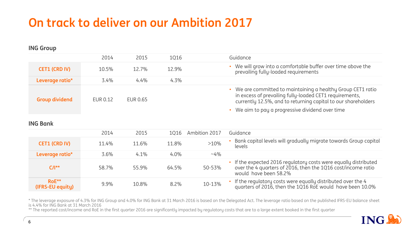## **On track to deliver on our Ambition 2017**

### **ING Group**

|                       | 2014     | 2015     | 1016    | Guidance                                                                                                                                                                                                                                 |
|-----------------------|----------|----------|---------|------------------------------------------------------------------------------------------------------------------------------------------------------------------------------------------------------------------------------------------|
| <b>CET1 (CRD IV)</b>  | 10.5%    | 12.7%    | 12.9%   | • We will grow into a comfortable buffer over time above the<br>prevailing fully-loaded requirements                                                                                                                                     |
| Leverage ratio*       | 3.4%     | $4.4\%$  | $4.3\%$ |                                                                                                                                                                                                                                          |
| <b>Group dividend</b> | EUR 0.12 | EUR 0.65 |         | We are committed to maintaining a healthy Group CET1 ratio<br>in excess of prevailing fully-loaded CET1 requirements,<br>currently 12.5%, and to returning capital to our shareholders<br>We aim to pay a progressive dividend over time |

### **ING Bank**

|                                        | 2014  | 2015  |         | 1Q16 Ambition 2017 | Guidance                                                                                                                                                |
|----------------------------------------|-------|-------|---------|--------------------|---------------------------------------------------------------------------------------------------------------------------------------------------------|
| <b>CET1 (CRD IV)</b>                   | 11.4% | 11.6% | 11.8%   | $>10\%$            | Bank capital levels will gradually migrate towards Group capital<br>levels                                                                              |
| Leverage ratio*                        | 3.6%  | 4.1%  | $4.0\%$ | $~10^{6}$          |                                                                                                                                                         |
| $C/I^{**}$                             | 58.7% | 55.9% | 64.5%   | 50-53%             | If the expected 2016 regulatory costs were equally distributed<br>over the 4 quarters of 2016, then the 1Q16 cost/income ratio<br>would have been 58.2% |
| $RoE^{\star\star}$<br>(IFRS-EU equity) | 9.9%  | 10.8% | 8.2%    | 10-13%             | If the regulatory costs were equally distributed over the 4<br>quarters of 2016, then the 1Q16 RoE would have been 10.0%                                |

\* The leverage exposure of 4.3% for ING Group and 4.0% for ING Bank at 31 March 2016 is based on the Delegated Act. The leverage ratio based on the published IFRS-EU balance sheet is 4.4% for ING Bank at 31 March 2016

\*\* The reported cost/income and RoE in the first quarter 2016 are significantly impacted by regulatory costs that are to a large extent booked in the first quarter

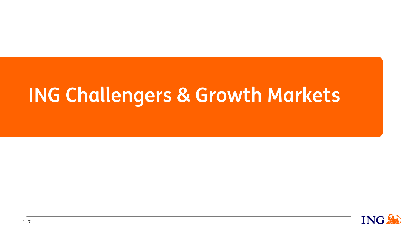# **ING Challengers & Growth Markets**

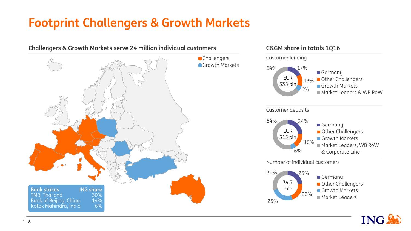## **Footprint Challengers & Growth Markets**





**Other Challengers** Growth Markets Market Leaders

22%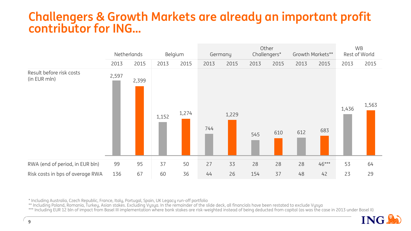### **Challengers & Growth Markets are already an important profit contributor for ING…**



\* Including Australia, Czech Republic, France, Italy, Portugal, Spain, UK Legacy run-off portfolio

\*\* Including Poland, Romania, Turkey, Asian stakes. Excluding Vysya. In the remainder of the slide deck, all financials have been restated to exclude Vysya

\*\*\* Including EUR 12 bln of impact from Basel III implementation where bank stakes are risk-weighted instead of being deducted from capital (as was the case in 2013 under Basel II)

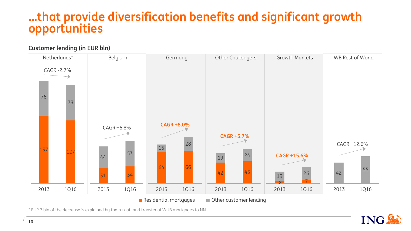## **…that provide diversification benefits and significant growth opportunities**

### **Customer lending (in EUR bln)**



\* EUR 7 bln of the decrease is explained by the run-off and transfer of WUB mortgages to NN

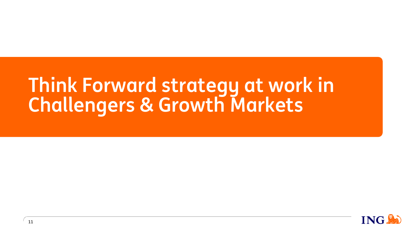# **Think Forward strategy at work in Challengers & Growth Markets**

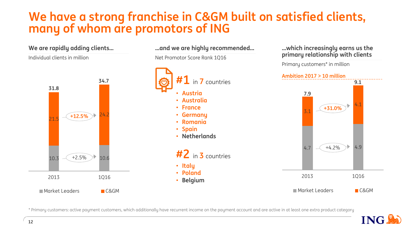## **We have a strong franchise in C&GM built on satisfied clients, many of whom are promotors of ING**

**...and we are highly recommended...**



**...which increasingly earns us the primary relationship with clients** 

Primary customers\* in million

 $4.7 \sim 4.2\%$  4.9 4.1 2013 1Q16 ■ Market Leaders ■ C&GM **9.1 +31.0%**

\* Primary customers: active payment customers, which additionally have recurrent income on the payment account and are active in at least one extra product category



**We are rapidly adding clients...**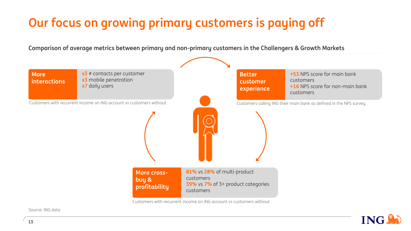## **Our focus on growing primary customers is paying off**

**Comparison of average metrics between primary and non-primary customers in the Challengers & Growth Markets**



Source: ING data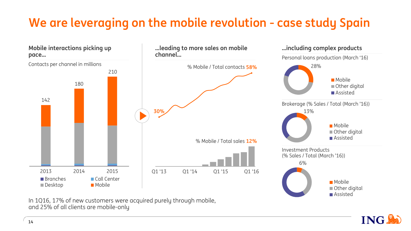## **We are leveraging on the mobile revolution - case study Spain**



In 1Q16, 17% of new customers were acquired purely through mobile, and 25% of all clients are mobile-only

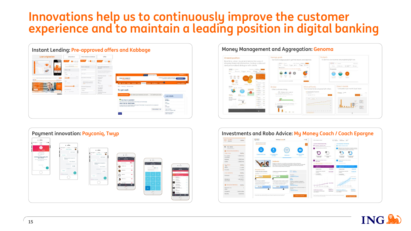## **Innovations help us to continuously improve the customer experience and to maintain a leading position in digital banking**





### Budgets Savinas goals Overall position Tool to encourage people to get their dreams and objectives expenses are progressing right no Real time, clear, visual and interactive way of showing financial information, having a relev **Contact the Contact of Second Second Second Second Second Second Second Second Second Second Second Second Second Second Second Second Second Second Second Second Second Second Second Second Second Second Second Second Se** and nerrogalized digiorum with clients Ster Stephen 40 2007 Nines Announce Minimum Street. Street. When  $\odot$ uitas Direct debits **Brokene** Mutual Funds Your mutual fund compa Comparison per month & per issue Other customers doing... to see 10  $\sim$ <u>III.i.i.. Li</u> п.



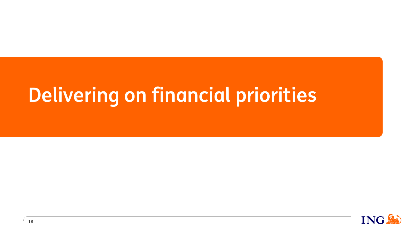# **Delivering on financial priorities**

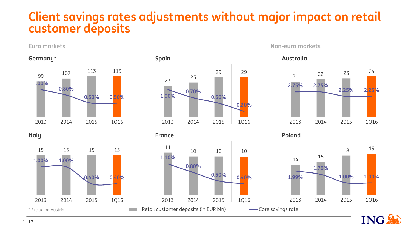### **Client savings rates adjustments without major impact on retail customer deposits**



2013 2014 2015 1Q16





**Euro markets Non-euro markets**





ING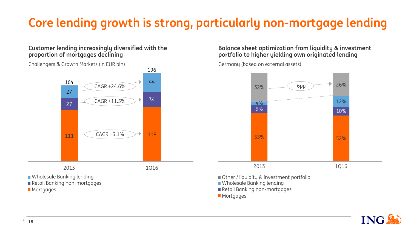## **Core lending growth is strong, particularly non-mortgage lending**

### **Customer lending increasingly diversified with the proportion of mortgages declining**



**Balance sheet optimization from liquidity & investment portfolio to higher yielding own originated lending**

Germany (based on external assets)



- Other / liquidity & investment portfolio
- **Nanking Languary Mustain**
- Retail Banking non-mortgages
- **Mortgages**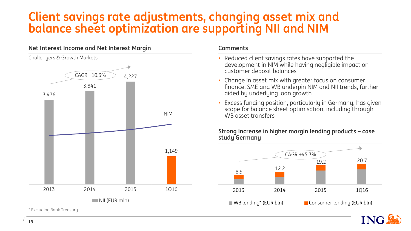## **Client savings rate adjustments, changing asset mix and balance sheet optimization are supporting NII and NIM**

### **Net Interest Income and Net Interest Margin**



\* Excluding Bank Treasury

### **Comments**

- Reduced client savings rates have supported the development in NIM while having negligible impact on customer deposit balances
- Change in asset mix with greater focus on consumer finance, SME and WB underpin NIM and NII trends, further aided by underlying loan growth
- Excess funding position, particularly in Germany, has given scope for balance sheet optimisation, including through WB asset transfers

### **Strong increase in higher margin lending products – case study Germany**



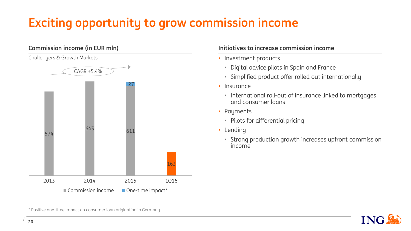## **Exciting opportunity to grow commission income**

## 574 <sup>643</sup> <sup>611</sup> 163 27 2013 2014 2015 1Q16 Commission income One-time impact\* CAGR +5.4% **Commission income (in EUR mln)** Challengers & Growth Markets

### **Initiatives to increase commission income**

- Investment products
	- Digital advice pilots in Spain and France
	- Simplified product offer rolled out internationally
- Insurance
	- International roll-out of insurance linked to mortgages and consumer loans
- Payments
	- Pilots for differential pricing
- Lending
	- Strong production growth increases upfront commission income



\* Positive one-time impact on consumer loan origination in Germany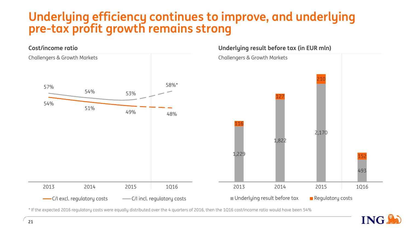## **Underlying efficiency continues to improve, and underlying pre-tax profit growth remains strong**



\* If the expected 2016 regulatory costs were equally distributed over the 4 quarters of 2016, then the 1Q16 cost/income ratio would have been 54%

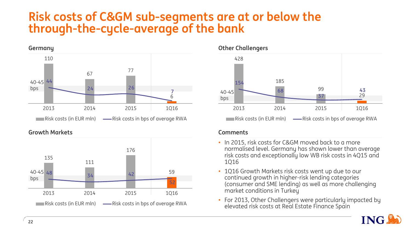### **Risk costs of C&GM sub-segments are at or below the through-the-cycle-average of the bank**



**Growth Markets**





### **Comments**

- In 2015, risk costs for C&GM moved back to a more normalised level. Germany has shown lower than average risk costs and exceptionally low WB risk costs in 4Q15 and 1Q16
- 1Q16 Growth Markets risk costs went up due to our continued growth in higher-risk lending categories (consumer and SME lending) as well as more challenging market conditions in Turkey
- For 2013, Other Challengers were particularly impacted by elevated risk costs at Real Estate Finance Spain

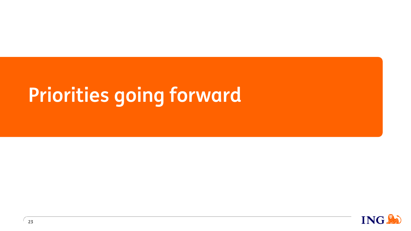# **Priorities going forward**

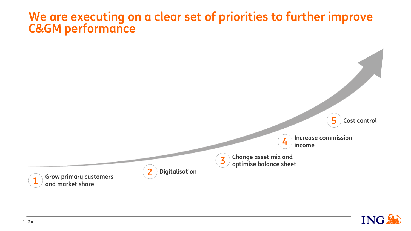### **We are executing on a clear set of priorities to further improve C&GM performance**



**Increase commission income**

**Change asset mix and optimise balance sheet**

**4**

**3**



**Grow primary customers and market share**



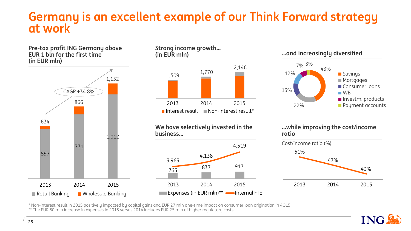### **Germany is an excellent example of our Think Forward strategy at work**



\* Non-interest result in 2015 positively impacted by capital gains and EUR 27 mln one-time impact on consumer loan origination in 4Q15 \*\* The EUR 80 mln increase in expenses in 2015 versus 2014 includes EUR 25 mln of higher regulatory costs

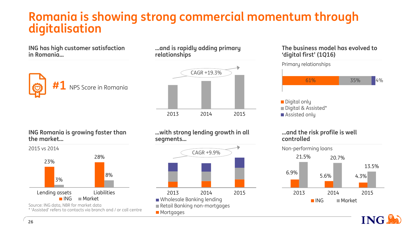### **Romania is showing strong commercial momentum through digitalisation**

**ING has high customer satisfaction in Romania…**



**...and is rapidly adding primary relationships**



### **ING Romania is growing faster than the market…**



**…with strong lending growth in all segments…**



### **The business model has evolved to 'digital first' (1Q16)**

Primary relationships



**Digital only** Digital & Assisted\* ■ Assisted only

### **…and the risk profile is well controlled**